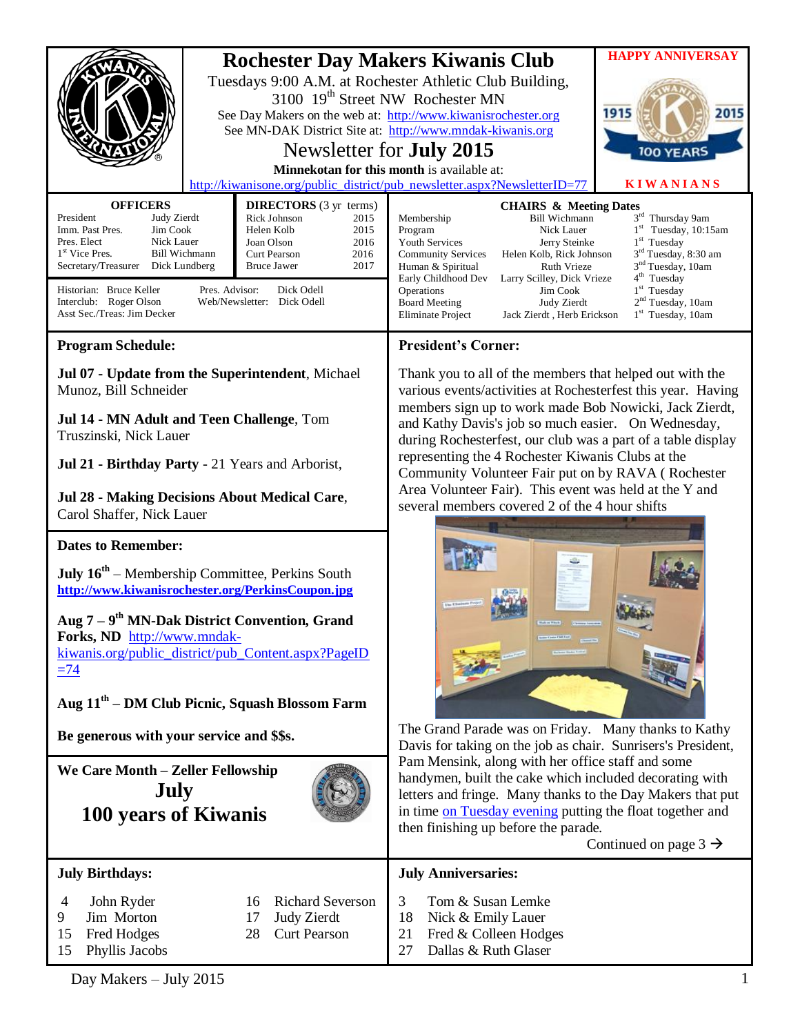|                                                                                                                                                                                                                                                                                                                                                                                          | <b>HAPPY ANNIVERSAY</b><br><b>Rochester Day Makers Kiwanis Club</b><br>Tuesdays 9:00 A.M. at Rochester Athletic Club Building,<br>3100 19 <sup>th</sup> Street NW Rochester MN<br>1915<br>2015<br>See Day Makers on the web at: http://www.kiwanisrochester.org<br>See MN-DAK District Site at: http://www.mndak-kiwanis.org<br>Newsletter for <b>July 2015</b><br>100 YEARS<br>Minnekotan for this month is available at: |
|------------------------------------------------------------------------------------------------------------------------------------------------------------------------------------------------------------------------------------------------------------------------------------------------------------------------------------------------------------------------------------------|----------------------------------------------------------------------------------------------------------------------------------------------------------------------------------------------------------------------------------------------------------------------------------------------------------------------------------------------------------------------------------------------------------------------------|
| <b>OFFICERS</b><br><b>DIRECTORS</b> (3 yr terms)                                                                                                                                                                                                                                                                                                                                         | <b>KIWANIANS</b><br>http://kiwanisone.org/public_district/pub_newsletter.aspx?NewsletterID=77<br><b>CHAIRS &amp; Meeting Dates</b>                                                                                                                                                                                                                                                                                         |
| President<br>Judy Zierdt<br>Rick Johnson<br>2015<br>Jim Cook<br>Imm. Past Pres.<br>Helen Kolb<br>2015<br>Pres. Elect<br>Nick Lauer<br>Joan Olson<br>2016<br>1 <sup>st</sup> Vice Pres.<br><b>Bill Wichmann</b><br>Curt Pearson<br>2016<br>Secretary/Treasurer Dick Lundberg<br><b>Bruce Jawer</b><br>2017                                                                                | 3rd Thursday 9am<br><b>Bill Wichmann</b><br>Membership<br>$1st$ Tuesday, 10:15am<br>Program<br>Nick Lauer<br>$1st$ Tuesday<br><b>Youth Services</b><br>Jerry Steinke<br>3 <sup>rd</sup> Tuesday, 8:30 am<br><b>Community Services</b><br>Helen Kolb, Rick Johnson<br>3 <sup>nd</sup> Tuesday, 10am<br>Ruth Vrieze<br>Human & Spiritual<br>4 <sup>th</sup> Tuesday<br>Early Childhood Dev<br>Larry Scilley, Dick Vrieze     |
| Pres. Advisor:<br>Historian: Bruce Keller<br>Dick Odell<br>Interclub: Roger Olson<br>Web/Newsletter: Dick Odell<br>Asst Sec./Treas: Jim Decker                                                                                                                                                                                                                                           | $1st$ Tuesday<br>Operations<br>Jim Cook<br>2 <sup>nd</sup> Tuesday, 10am<br><b>Board Meeting</b><br>Judy Zierdt<br>$1st$ Tuesday, 10am<br>Eliminate Project<br>Jack Zierdt, Herb Erickson                                                                                                                                                                                                                                  |
| <b>Program Schedule:</b>                                                                                                                                                                                                                                                                                                                                                                 | <b>President's Corner:</b>                                                                                                                                                                                                                                                                                                                                                                                                 |
| Jul 07 - Update from the Superintendent, Michael<br>Munoz, Bill Schneider<br>Jul 14 - MN Adult and Teen Challenge, Tom<br>Truszinski, Nick Lauer                                                                                                                                                                                                                                         | Thank you to all of the members that helped out with the<br>various events/activities at Rochesterfest this year. Having<br>members sign up to work made Bob Nowicki, Jack Zierdt,<br>and Kathy Davis's job so much easier. On Wednesday,<br>during Rochesterfest, our club was a part of a table display                                                                                                                  |
| Jul 21 - Birthday Party - 21 Years and Arborist,                                                                                                                                                                                                                                                                                                                                         | representing the 4 Rochester Kiwanis Clubs at the<br>Community Volunteer Fair put on by RAVA (Rochester                                                                                                                                                                                                                                                                                                                    |
| Jul 28 - Making Decisions About Medical Care,<br>Carol Shaffer, Nick Lauer                                                                                                                                                                                                                                                                                                               | Area Volunteer Fair). This event was held at the Y and<br>several members covered 2 of the 4 hour shifts                                                                                                                                                                                                                                                                                                                   |
| <b>Dates to Remember:</b><br><b>July <math>16^{th}</math></b> – Membership Committee, Perkins South<br>http://www.kiwanisrochester.org/PerkinsCoupon.jpg<br>Aug 7 – 9 <sup>th</sup> MN-Dak District Convention, Grand<br>Forks, ND http://www.mndak-<br>kiwanis.org/public_district/pub_Content.aspx?PageID<br>$\equiv$ 74<br>Aug 11 <sup>th</sup> – DM Club Picnic, Squash Blossom Farm |                                                                                                                                                                                                                                                                                                                                                                                                                            |
| Be generous with your service and \$\$s.                                                                                                                                                                                                                                                                                                                                                 | The Grand Parade was on Friday. Many thanks to Kathy<br>Davis for taking on the job as chair. Sunrisers's President,                                                                                                                                                                                                                                                                                                       |
| We Care Month - Zeller Fellowship<br>July<br>100 years of Kiwanis                                                                                                                                                                                                                                                                                                                        | Pam Mensink, along with her office staff and some<br>handymen, built the cake which included decorating with<br>letters and fringe. Many thanks to the Day Makers that put<br>in time on Tuesday evening putting the float together and<br>then finishing up before the parade.<br>Continued on page $3 \rightarrow$                                                                                                       |
| <b>July Birthdays:</b>                                                                                                                                                                                                                                                                                                                                                                   | <b>July Anniversaries:</b>                                                                                                                                                                                                                                                                                                                                                                                                 |
| <b>Richard Severson</b><br>John Ryder<br>4<br>16<br>Jim Morton<br>Judy Zierdt<br>9.<br>17<br><b>Curt Pearson</b><br>15<br>Fred Hodges<br>28<br>15<br>Phyllis Jacobs                                                                                                                                                                                                                      | 3<br>Tom & Susan Lemke<br>18<br>Nick & Emily Lauer<br>Fred & Colleen Hodges<br>21<br>27<br>Dallas & Ruth Glaser                                                                                                                                                                                                                                                                                                            |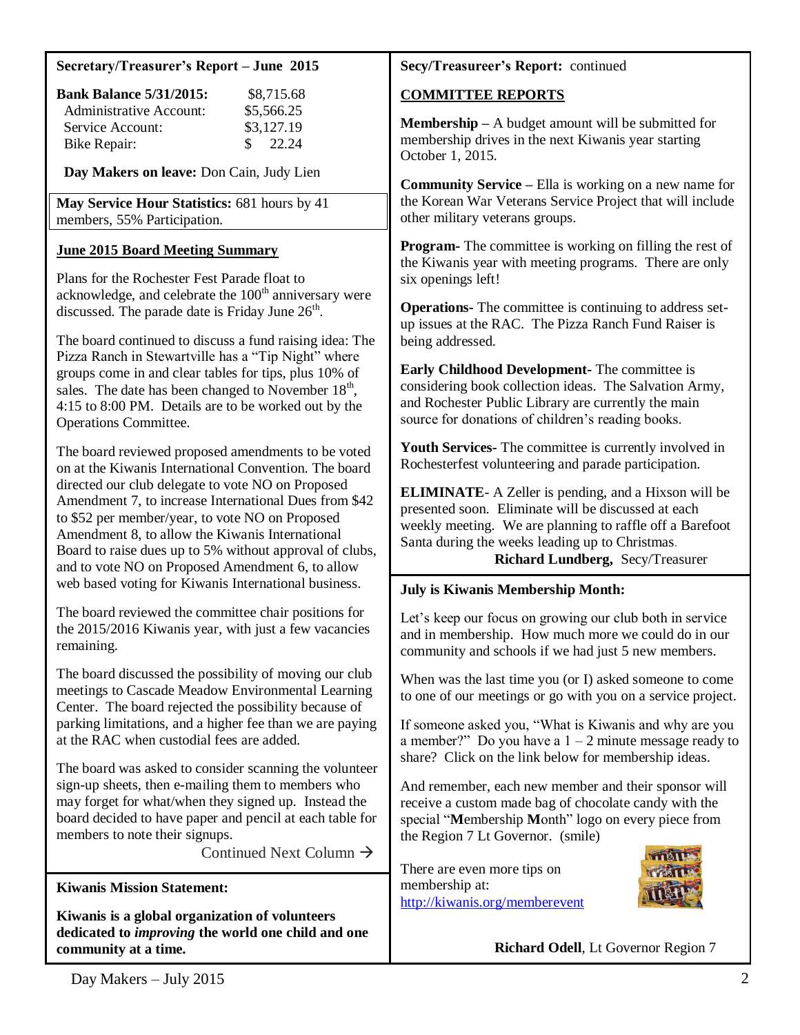#### **Secretary/Treasurer's Report – June 2015**

| <b>Bank Balance 5/31/2015:</b> | \$8,715.68                      |
|--------------------------------|---------------------------------|
| Administrative Account:        | \$5,566.25                      |
| Service Account:               | \$3,127.19                      |
| Bike Repair:                   | $\frac{\text{S}}{\text{22.24}}$ |

**Day Makers on leave:** Don Cain, Judy Lien

**May Service Hour Statistics:** 681 hours by 41 members, 55% Participation.

## **June 2015 Board Meeting Summary**

Plans for the Rochester Fest Parade float to acknowledge, and celebrate the  $100<sup>th</sup>$  anniversary were discussed. The parade date is Friday June  $26<sup>th</sup>$ .

The board continued to discuss a fund raising idea: The Pizza Ranch in Stewartville has a "Tip Night" where groups come in and clear tables for tips, plus 10% of sales. The date has been changed to November  $18<sup>th</sup>$ , 4:15 to 8:00 PM. Details are to be worked out by the Operations Committee.

The board reviewed proposed amendments to be voted on at the Kiwanis International Convention. The board directed our club delegate to vote NO on Proposed Amendment 7, to increase International Dues from \$42 to \$52 per member/year, to vote NO on Proposed Amendment 8, to allow the Kiwanis International Board to raise dues up to 5% without approval of clubs, and to vote NO on Proposed Amendment 6, to allow web based voting for Kiwanis International business.

The board reviewed the committee chair positions for the 2015/2016 Kiwanis year, with just a few vacancies remaining.

The board discussed the possibility of moving our club meetings to Cascade Meadow Environmental Learning Center. The board rejected the possibility because of parking limitations, and a higher fee than we are paying at the RAC when custodial fees are added.

The board was asked to consider scanning the volunteer sign-up sheets, then e-mailing them to members who may forget for what/when they signed up. Instead the board decided to have paper and pencil at each table for members to note their signups.

Continued Next Column  $\rightarrow$ 

**Kiwanis Mission Statement:**

**Kiwanis is a global organization of volunteers dedicated to** *improving* **the world one child and one community at a time.**

## **Secy/Treasureer's Report:** continued

## **COMMITTEE REPORTS**

**Membership –** A budget amount will be submitted for membership drives in the next Kiwanis year starting October 1, 2015.

**Community Service –** Ella is working on a new name for the Korean War Veterans Service Project that will include other military veterans groups.

**Program-** The committee is working on filling the rest of the Kiwanis year with meeting programs. There are only six openings left!

**Operations-** The committee is continuing to address setup issues at the RAC. The Pizza Ranch Fund Raiser is being addressed.

**Early Childhood Development-** The committee is considering book collection ideas. The Salvation Army, and Rochester Public Library are currently the main source for donations of children's reading books.

**Youth Services-** The committee is currently involved in Rochesterfest volunteering and parade participation.

**ELIMINATE**- A Zeller is pending, and a Hixson will be presented soon. Eliminate will be discussed at each weekly meeting. We are planning to raffle off a Barefoot Santa during the weeks leading up to Christmas.

**Richard Lundberg,** Secy/Treasurer

### **July is Kiwanis Membership Month:**

Let's keep our focus on growing our club both in service and in membership. How much more we could do in our community and schools if we had just 5 new members.

When was the last time you (or I) asked someone to come to one of our meetings or go with you on a service project.

If someone asked you, "What is Kiwanis and why are you a member?" Do you have a  $1 - 2$  minute message ready to share? Click on the link below for membership ideas.

And remember, each new member and their sponsor will receive a custom made bag of chocolate candy with the special "**M**embership **M**onth" logo on every piece from the Region 7 Lt Governor. (smile)

There are even more tips on membership at: <http://kiwanis.org/memberevent>



**Richard Odell**, Lt Governor Region 7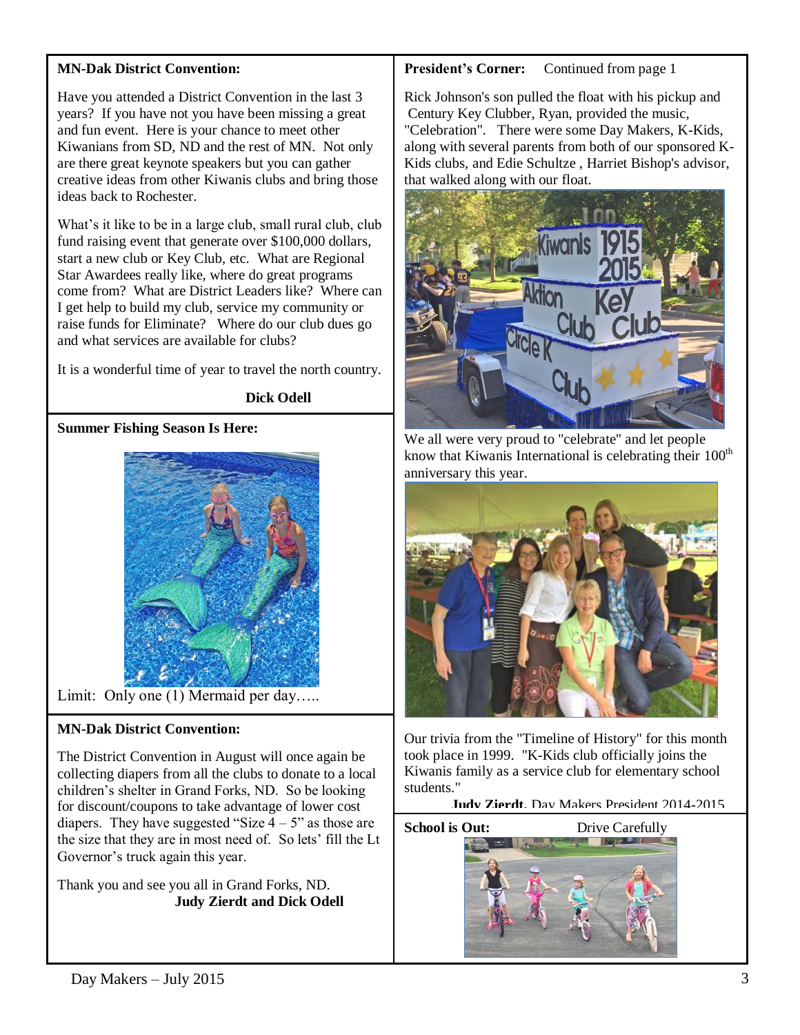# **MN-Dak District Convention:**

Have you attended a District Convention in the last 3 years? If you have not you have been missing a great and fun event. Here is your chance to meet other Kiwanians from SD, ND and the rest of MN. Not only are there great keynote speakers but you can gather creative ideas from other Kiwanis clubs and bring those ideas back to Rochester.

What's it like to be in a large club, small rural club, club fund raising event that generate over \$100,000 dollars, start a new club or Key Club, etc. What are Regional Star Awardees really like, where do great programs come from? What are District Leaders like? Where can I get help to build my club, service my community or raise funds for Eliminate? Where do our club dues go and what services are available for clubs?

It is a wonderful time of year to travel the north country.

### **Dick Odell**

# **Summer Fishing Season Is Here:**



Limit: Only one (1) Mermaid per day.....

# **MN-Dak District Convention:**

The District Convention in August will once again be collecting diapers from all the clubs to donate to a local children's shelter in Grand Forks, ND. So be looking for discount/coupons to take advantage of lower cost diapers. They have suggested "Size  $4 - 5$ " as those are the size that they are in most need of. So lets' fill the Lt Governor's truck again this year.

Thank you and see you all in Grand Forks, ND.  **Judy Zierdt and Dick Odell** 

# **President's Corner:** Continued from page 1

Rick Johnson's son pulled the float with his pickup and Century Key Clubber, Ryan, provided the music, "Celebration". There were some Day Makers, K-Kids, along with several parents from both of our sponsored K-Kids clubs, and Edie Schultze , Harriet Bishop's advisor, that walked along with our float.



We all were very proud to "celebrate" and let people know that Kiwanis International is celebrating their  $100<sup>th</sup>$ anniversary this year.



Our trivia from the "Timeline of History" for this month took place in 1999. "K-Kids club officially joins the Kiwanis family as a service club for elementary school students."

 **Judy Zierdt,** Day Makers President 2014-2015

**School is Out:** Drive Carefully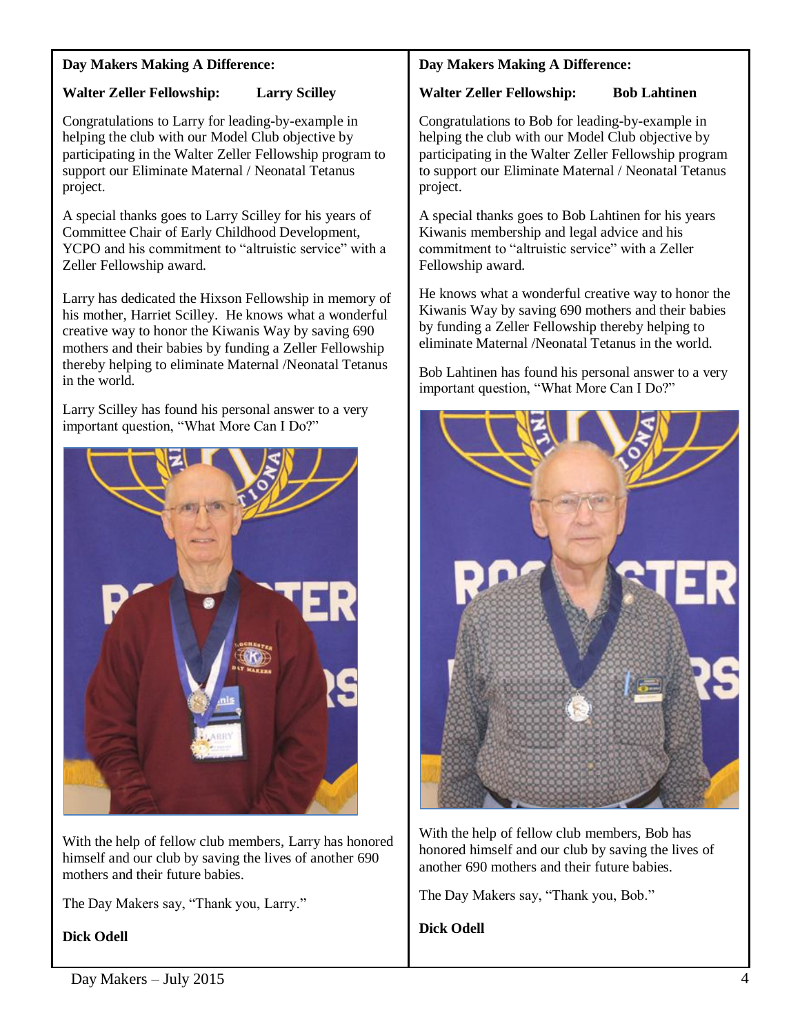### **Day Makers Making A Difference:**

# **Walter Zeller Fellowship: Larry Scilley**

Congratulations to Larry for leading-by-example in helping the club with our Model Club objective by participating in the Walter Zeller Fellowship program to support our Eliminate Maternal / Neonatal Tetanus project.

A special thanks goes to Larry Scilley for his years of Committee Chair of Early Childhood Development, YCPO and his commitment to "altruistic service" with a Zeller Fellowship award.

Larry has dedicated the Hixson Fellowship in memory of his mother, Harriet Scilley. He knows what a wonderful creative way to honor the Kiwanis Way by saving 690 mothers and their babies by funding a Zeller Fellowship thereby helping to eliminate Maternal /Neonatal Tetanus in the world.

Larry Scilley has found his personal answer to a very important question, "What More Can I Do?"



With the help of fellow club members, Larry has honored himself and our club by saving the lives of another 690 mothers and their future babies.

The Day Makers say, "Thank you, Larry."

**Dick Odell** 

## **Day Makers Making A Difference:**

### **Walter Zeller Fellowship: Bob Lahtinen**

Congratulations to Bob for leading-by-example in helping the club with our Model Club objective by participating in the Walter Zeller Fellowship program to support our Eliminate Maternal / Neonatal Tetanus project.

A special thanks goes to Bob Lahtinen for his years Kiwanis membership and legal advice and his commitment to "altruistic service" with a Zeller Fellowship award.

He knows what a wonderful creative way to honor the Kiwanis Way by saving 690 mothers and their babies by funding a Zeller Fellowship thereby helping to eliminate Maternal /Neonatal Tetanus in the world.

Bob Lahtinen has found his personal answer to a very important question, "What More Can I Do?"



With the help of fellow club members, Bob has honored himself and our club by saving the lives of another 690 mothers and their future babies.

The Day Makers say, "Thank you, Bob."

**Dick Odell**